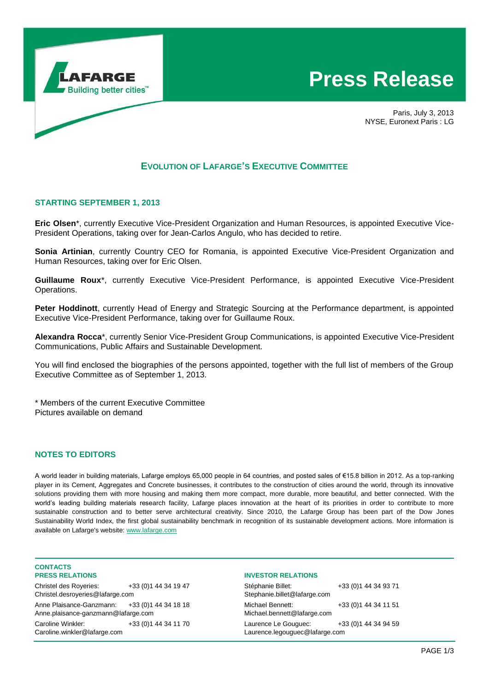

# **Press Release**

Paris, July 3, 2013 NYSE, Euronext Paris : LG

## **EVOLUTION OF LAFARGE'S EXECUTIVE COMMITTEE**

#### **STARTING SEPTEMBER 1, 2013**

**Eric Olsen**\*, currently Executive Vice-President Organization and Human Resources, is appointed Executive Vice-President Operations, taking over for Jean-Carlos Angulo, who has decided to retire.

**Sonia Artinian**, currently Country CEO for Romania, is appointed Executive Vice-President Organization and Human Resources, taking over for Eric Olsen.

**Guillaume Roux**\*, currently Executive Vice-President Performance, is appointed Executive Vice-President Operations.

**Peter Hoddinott**, currently Head of Energy and Strategic Sourcing at the Performance department, is appointed Executive Vice-President Performance, taking over for Guillaume Roux.

**Alexandra Rocca**\*, currently Senior Vice-President Group Communications, is appointed Executive Vice-President Communications, Public Affairs and Sustainable Development.

You will find enclosed the biographies of the persons appointed, together with the full list of members of the Group Executive Committee as of September 1, 2013.

\* Members of the current Executive Committee Pictures available on demand

## **NOTES TO EDITORS**

A world leader in building materials, Lafarge employs 65,000 people in 64 countries, and posted sales of €15.8 billion in 2012. As a top-ranking player in its Cement, Aggregates and Concrete businesses, it contributes to the construction of cities around the world, through its innovative solutions providing them with more housing and making them more compact, more durable, more beautiful, and better connected. With the world's leading building materials research facility, Lafarge places innovation at the heart of its priorities in order to contribute to more sustainable construction and to better serve architectural creativity. Since 2010, the Lafarge Group has been part of the Dow Jones Sustainability World Index, the first global sustainability benchmark in recognition of its sustainable development actions. More information is available on Lafarge's website: www.lafarge.com

#### **CONTACTS PRESS RELATIONS**

Christel des Royeries: +33 (0)1 44 34 19 47 Christel.desroyeries@lafarge.com Anne Plaisance-Ganzmann: +33 (0)1 44 34 18 18 Anne.plaisance-ganzmann@lafarge.com Caroline Winkler: +33 (0) 1 44 34 11 70 Caroline.winkler@lafarge.com

#### **INVESTOR RELATIONS**

| Stéphanie Billet:<br>Stephanie.billet@lafarge.com      | +33 (0) 1 44 34 93 71 |
|--------------------------------------------------------|-----------------------|
| Michael Bennett:<br>Michael.bennett@lafarge.com        | +33 (0) 1 44 34 11 51 |
| Laurence Le Gouguec:<br>Laurence.legouguec@lafarge.com | +33 (0) 1 44 34 94 59 |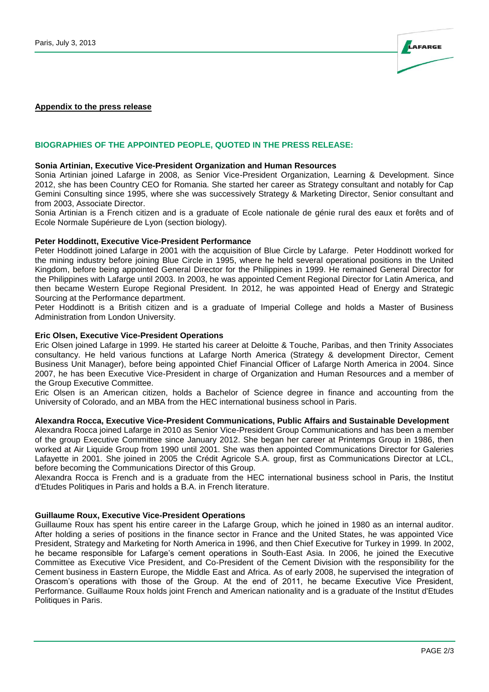

#### **Appendix to the press release**

#### **BIOGRAPHIES OF THE APPOINTED PEOPLE, QUOTED IN THE PRESS RELEASE:**

#### **Sonia Artinian, Executive Vice-President Organization and Human Resources**

Sonia Artinian joined Lafarge in 2008, as Senior Vice-President Organization, Learning & Development. Since 2012, she has been Country CEO for Romania. She started her career as Strategy consultant and notably for Cap Gemini Consulting since 1995, where she was successively Strategy & Marketing Director, Senior consultant and from 2003, Associate Director.

Sonia Artinian is a French citizen and is a graduate of Ecole nationale de génie rural des eaux et forêts and of Ecole Normale Supérieure de Lyon (section biology).

#### **Peter Hoddinott, Executive Vice-President Performance**

Peter Hoddinott joined Lafarge in 2001 with the acquisition of Blue Circle by Lafarge. Peter Hoddinott worked for the mining industry before joining Blue Circle in 1995, where he held several operational positions in the United Kingdom, before being appointed General Director for the Philippines in 1999. He remained General Director for the Philippines with Lafarge until 2003. In 2003, he was appointed Cement Regional Director for Latin America, and then became Western Europe Regional President. In 2012, he was appointed Head of Energy and Strategic Sourcing at the Performance department.

Peter Hoddinott is a British citizen and is a graduate of Imperial College and holds a Master of Business Administration from London University.

#### **Eric Olsen, Executive Vice-President Operations**

Eric Olsen joined Lafarge in 1999. He started his career at Deloitte & Touche, Paribas, and then Trinity Associates consultancy. He held various functions at Lafarge North America (Strategy & development Director, Cement Business Unit Manager), before being appointed Chief Financial Officer of Lafarge North America in 2004. Since 2007, he has been Executive Vice-President in charge of Organization and Human Resources and a member of the Group Executive Committee.

Eric Olsen is an American citizen, holds a Bachelor of Science degree in finance and accounting from the University of Colorado, and an MBA from the HEC international business school in Paris.

#### **Alexandra Rocca, Executive Vice-President Communications, Public Affairs and Sustainable Development**

Alexandra Rocca joined Lafarge in 2010 as Senior Vice-President Group Communications and has been a member of the group Executive Committee since January 2012. She began her career at Printemps Group in 1986, then worked at Air Liquide Group from 1990 until 2001. She was then appointed Communications Director for Galeries Lafayette in 2001. She joined in 2005 the Crédit Agricole S.A. group, first as Communications Director at LCL, before becoming the Communications Director of this Group.

Alexandra Rocca is French and is a graduate from the HEC international business school in Paris, the Institut d'Etudes Politiques in Paris and holds a B.A. in French literature.

#### **Guillaume Roux, Executive Vice-President Operations**

Guillaume Roux has spent his entire career in the Lafarge Group, which he joined in 1980 as an internal auditor. After holding a series of positions in the finance sector in France and the United States, he was appointed Vice President, Strategy and Marketing for North America in 1996, and then Chief Executive for Turkey in 1999. In 2002, he became responsible for Lafarge's cement operations in South-East Asia. In 2006, he joined the Executive Committee as Executive Vice President, and Co-President of the Cement Division with the responsibility for the Cement business in Eastern Europe, the Middle East and Africa. As of early 2008, he supervised the integration of Orascom's operations with those of the Group. At the end of 2011, he became Executive Vice President, Performance. Guillaume Roux holds joint French and American nationality and is a graduate of the Institut d'Etudes Politiques in Paris.